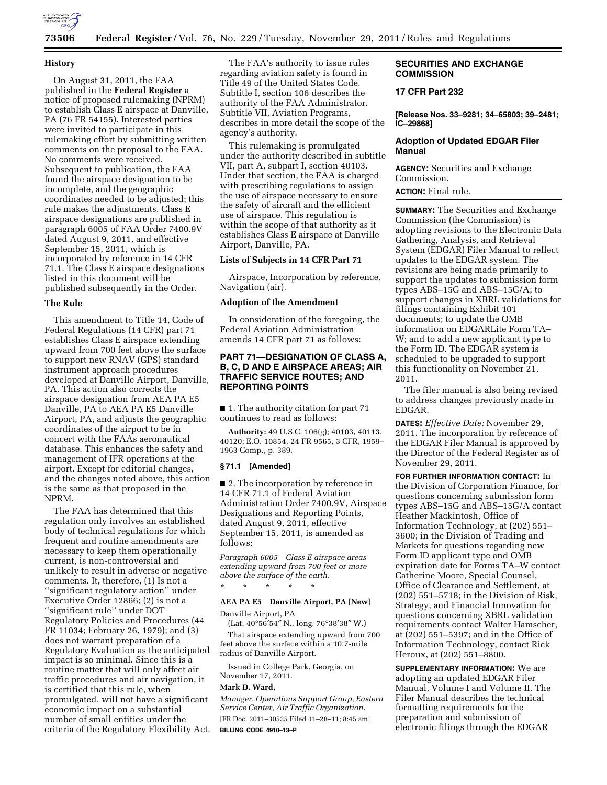

# **73506 Federal Register** / Vol. 76, No. 229 / Tuesday, November 29, 2011 / Rules and Regulations

### **History**

On August 31, 2011, the FAA published in the **Federal Register** a notice of proposed rulemaking (NPRM) to establish Class E airspace at Danville, PA (76 FR 54155). Interested parties were invited to participate in this rulemaking effort by submitting written comments on the proposal to the FAA. No comments were received. Subsequent to publication, the FAA found the airspace designation to be incomplete, and the geographic coordinates needed to be adjusted; this rule makes the adjustments. Class E airspace designations are published in paragraph 6005 of FAA Order 7400.9V dated August 9, 2011, and effective September 15, 2011, which is incorporated by reference in 14 CFR 71.1. The Class E airspace designations listed in this document will be published subsequently in the Order.

### **The Rule**

This amendment to Title 14, Code of Federal Regulations (14 CFR) part 71 establishes Class E airspace extending upward from 700 feet above the surface to support new RNAV (GPS) standard instrument approach procedures developed at Danville Airport, Danville, PA. This action also corrects the airspace designation from AEA PA E5 Danville, PA to AEA PA E5 Danville Airport, PA, and adjusts the geographic coordinates of the airport to be in concert with the FAAs aeronautical database. This enhances the safety and management of IFR operations at the airport. Except for editorial changes, and the changes noted above, this action is the same as that proposed in the NPRM.

The FAA has determined that this regulation only involves an established body of technical regulations for which frequent and routine amendments are necessary to keep them operationally current, is non-controversial and unlikely to result in adverse or negative comments. It, therefore, (1) Is not a ''significant regulatory action'' under Executive Order 12866; (2) is not a ''significant rule'' under DOT Regulatory Policies and Procedures (44 FR 11034; February 26, 1979); and (3) does not warrant preparation of a Regulatory Evaluation as the anticipated impact is so minimal. Since this is a routine matter that will only affect air traffic procedures and air navigation, it is certified that this rule, when promulgated, will not have a significant economic impact on a substantial number of small entities under the criteria of the Regulatory Flexibility Act.

The FAA's authority to issue rules regarding aviation safety is found in Title 49 of the United States Code. Subtitle I, section 106 describes the authority of the FAA Administrator. Subtitle VII, Aviation Programs, describes in more detail the scope of the agency's authority.

This rulemaking is promulgated under the authority described in subtitle VII, part A, subpart I, section 40103. Under that section, the FAA is charged with prescribing regulations to assign the use of airspace necessary to ensure the safety of aircraft and the efficient use of airspace. This regulation is within the scope of that authority as it establishes Class E airspace at Danville Airport, Danville, PA.

### **Lists of Subjects in 14 CFR Part 71**

Airspace, Incorporation by reference, Navigation (air).

#### **Adoption of the Amendment**

In consideration of the foregoing, the Federal Aviation Administration amends 14 CFR part 71 as follows:

### **PART 71—DESIGNATION OF CLASS A, B, C, D AND E AIRSPACE AREAS; AIR TRAFFIC SERVICE ROUTES; AND REPORTING POINTS**

■ 1. The authority citation for part 71 continues to read as follows:

**Authority:** 49 U.S.C. 106(g); 40103, 40113, 40120; E.O. 10854, 24 FR 9565, 3 CFR, 1959– 1963 Comp., p. 389.

#### **§ 71.1 [Amended]**

■ 2. The incorporation by reference in 14 CFR 71.1 of Federal Aviation Administration Order 7400.9V, Airspace Designations and Reporting Points, dated August 9, 2011, effective September 15, 2011, is amended as follows:

*Paragraph 6005 Class E airspace areas extending upward from 700 feet or more above the surface of the earth.* 

\* \* \* \* \*

# **AEA PA E5 Danville Airport, PA [New]**

Danville Airport, PA

(Lat. 40°56′54″ N., long. 76°38′38″ W.) That airspace extending upward from 700 feet above the surface within a 10.7-mile radius of Danville Airport.

Issued in College Park, Georgia, on November 17, 2011.

#### **Mark D. Ward,**

*Manager, Operations Support Group, Eastern Service Center, Air Traffic Organization.*  [FR Doc. 2011–30535 Filed 11–28–11; 8:45 am] **BILLING CODE 4910–13–P** 

### **SECURITIES AND EXCHANGE COMMISSION**

# **17 CFR Part 232**

**[Release Nos. 33–9281; 34–65803; 39–2481; IC–29868]** 

# **Adoption of Updated EDGAR Filer Manual**

**AGENCY:** Securities and Exchange Commission.

**ACTION:** Final rule.

**SUMMARY:** The Securities and Exchange Commission (the Commission) is adopting revisions to the Electronic Data Gathering, Analysis, and Retrieval System (EDGAR) Filer Manual to reflect updates to the EDGAR system. The revisions are being made primarily to support the updates to submission form types ABS–15G and ABS–15G/A; to support changes in XBRL validations for filings containing Exhibit 101 documents; to update the OMB information on EDGARLite Form TA– W; and to add a new applicant type to the Form ID. The EDGAR system is scheduled to be upgraded to support this functionality on November 21, 2011.

The filer manual is also being revised to address changes previously made in EDGAR.

**DATES:** *Effective Date:* November 29, 2011. The incorporation by reference of the EDGAR Filer Manual is approved by the Director of the Federal Register as of November 29, 2011.

**FOR FURTHER INFORMATION CONTACT:** In the Division of Corporation Finance, for questions concerning submission form types ABS–15G and ABS–15G/A contact Heather Mackintosh, Office of Information Technology, at (202) 551– 3600; in the Division of Trading and Markets for questions regarding new Form ID applicant type and OMB expiration date for Forms TA–W contact Catherine Moore, Special Counsel, Office of Clearance and Settlement, at (202) 551–5718; in the Division of Risk, Strategy, and Financial Innovation for questions concerning XBRL validation requirements contact Walter Hamscher, at (202) 551–5397; and in the Office of Information Technology, contact Rick Heroux, at (202) 551–8800.

**SUPPLEMENTARY INFORMATION:** We are adopting an updated EDGAR Filer Manual, Volume I and Volume II. The Filer Manual describes the technical formatting requirements for the preparation and submission of electronic filings through the EDGAR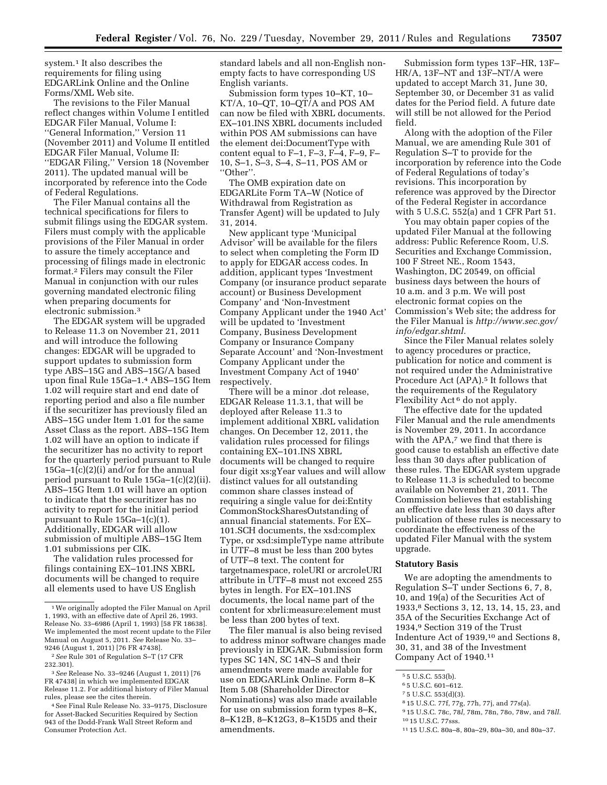system.<sup>1</sup> It also describes the requirements for filing using EDGARLink Online and the Online Forms/XML Web site.

The revisions to the Filer Manual reflect changes within Volume I entitled EDGAR Filer Manual, Volume I: ''General Information,'' Version 11 (November 2011) and Volume II entitled EDGAR Filer Manual, Volume II: ''EDGAR Filing,'' Version 18 (November 2011). The updated manual will be incorporated by reference into the Code of Federal Regulations.

The Filer Manual contains all the technical specifications for filers to submit filings using the EDGAR system. Filers must comply with the applicable provisions of the Filer Manual in order to assure the timely acceptance and processing of filings made in electronic format.2 Filers may consult the Filer Manual in conjunction with our rules governing mandated electronic filing when preparing documents for electronic submission.3

The EDGAR system will be upgraded to Release 11.3 on November 21, 2011 and will introduce the following changes: EDGAR will be upgraded to support updates to submission form type ABS–15G and ABS–15G/A based upon final Rule 15Ga–1.4 ABS–15G Item 1.02 will require start and end date of reporting period and also a file number if the securitizer has previously filed an ABS–15G under Item 1.01 for the same Asset Class as the report. ABS–15G Item 1.02 will have an option to indicate if the securitizer has no activity to report for the quarterly period pursuant to Rule 15Ga–1(c)(2)(i) and/or for the annual period pursuant to Rule 15Ga–1(c)(2)(ii). ABS–15G Item 1.01 will have an option to indicate that the securitizer has no activity to report for the initial period pursuant to Rule 15Ga–1(c)(1). Additionally, EDGAR will allow submission of multiple ABS–15G Item 1.01 submissions per CIK.

The validation rules processed for filings containing EX–101.INS XBRL documents will be changed to require all elements used to have US English

standard labels and all non-English nonempty facts to have corresponding US English variants.

Submission form types 10–KT, 10– KT/A, 10–QT, 10–QT/A and POS AM can now be filed with XBRL documents. EX–101.INS XBRL documents included within POS AM submissions can have the element dei:DocumentType with content equal to F–1, F–3, F–4, F–9, F– 10, S–1, S–3, S–4, S–11, POS AM or ''Other''.

The OMB expiration date on EDGARLite Form TA–W (Notice of Withdrawal from Registration as Transfer Agent) will be updated to July 31, 2014.

New applicant type 'Municipal Advisor' will be available for the filers to select when completing the Form ID to apply for EDGAR access codes. In addition, applicant types 'Investment Company (or insurance product separate account) or Business Development Company' and 'Non-Investment Company Applicant under the 1940 Act' will be updated to 'Investment Company, Business Development Company or Insurance Company Separate Account' and 'Non-Investment Company Applicant under the Investment Company Act of 1940' respectively.

There will be a minor .dot release, EDGAR Release 11.3.1, that will be deployed after Release 11.3 to implement additional XBRL validation changes. On December 12, 2011, the validation rules processed for filings containing EX–101.INS XBRL documents will be changed to require four digit xs:gYear values and will allow distinct values for all outstanding common share classes instead of requiring a single value for dei:Entity CommonStockSharesOutstanding of annual financial statements. For EX– 101.SCH documents, the xsd:complex Type, or xsd:simpleType name attribute in UTF–8 must be less than 200 bytes of UTF–8 text. The content for targetnamespace, roleURI or arcroleURI attribute in UTF–8 must not exceed 255 bytes in length. For EX–101.INS documents, the local name part of the content for xbrli:measure:element must be less than 200 bytes of text.

The filer manual is also being revised to address minor software changes made previously in EDGAR. Submission form types SC 14N, SC 14N–S and their amendments were made available for use on EDGARLink Online. Form 8–K Item 5.08 (Shareholder Director Nominations) was also made available for use on submission form types 8–K, 8–K12B, 8–K12G3, 8–K15D5 and their amendments.

Submission form types 13F–HR, 13F– HR/A, 13F–NT and 13F–NT/A were updated to accept March 31, June 30, September 30, or December 31 as valid dates for the Period field. A future date will still be not allowed for the Period field.

Along with the adoption of the Filer Manual, we are amending Rule 301 of Regulation S–T to provide for the incorporation by reference into the Code of Federal Regulations of today's revisions. This incorporation by reference was approved by the Director of the Federal Register in accordance with 5 U.S.C. 552(a) and 1 CFR Part 51.

You may obtain paper copies of the updated Filer Manual at the following address: Public Reference Room, U.S. Securities and Exchange Commission, 100 F Street NE., Room 1543, Washington, DC 20549, on official business days between the hours of 10 a.m. and 3 p.m. We will post electronic format copies on the Commission's Web site; the address for the Filer Manual is *[http://www.sec.gov/](http://www.sec.gov/info/edgar.shtml)  [info/edgar.shtml.](http://www.sec.gov/info/edgar.shtml)* 

Since the Filer Manual relates solely to agency procedures or practice, publication for notice and comment is not required under the Administrative Procedure Act (APA).<sup>5</sup> It follows that the requirements of the Regulatory Flexibility Act 6 do not apply.

The effective date for the updated Filer Manual and the rule amendments is November 29, 2011. In accordance with the APA,7 we find that there is good cause to establish an effective date less than 30 days after publication of these rules. The EDGAR system upgrade to Release 11.3 is scheduled to become available on November 21, 2011. The Commission believes that establishing an effective date less than 30 days after publication of these rules is necessary to coordinate the effectiveness of the updated Filer Manual with the system upgrade.

#### **Statutory Basis**

We are adopting the amendments to Regulation S–T under Sections 6, 7, 8, 10, and 19(a) of the Securities Act of 1933,8 Sections 3, 12, 13, 14, 15, 23, and 35A of the Securities Exchange Act of 1934,9 Section 319 of the Trust Indenture Act of 1939,10 and Sections 8, 30, 31, and 38 of the Investment Company Act of 1940.11

<sup>1</sup>We originally adopted the Filer Manual on April 1, 1993, with an effective date of April 26, 1993. Release No. 33–6986 (April 1, 1993) [58 FR 18638]. We implemented the most recent update to the Filer Manual on August 5, 2011. *See* Release No. 33– 9246 (August 1, 2011) [76 FR 47438].

<sup>2</sup>*See* Rule 301 of Regulation S–T (17 CFR 232.301).

<sup>3</sup>*See* Release No. 33–9246 (August 1, 2011) [76 FR 47438] in which we implemented EDGAR Release 11.2. For additional history of Filer Manual rules, please see the cites therein.

<sup>4</sup>See Final Rule Release No. 33–9175, Disclosure for Asset-Backed Securities Required by Section 943 of the Dodd-Frank Wall Street Reform and Consumer Protection Act.

<sup>5</sup> 5 U.S.C. 553(b).

<sup>6</sup> 5 U.S.C. 601–612.

<sup>7</sup> 5 U.S.C. 553(d)(3).

<sup>8</sup> 15 U.S.C. 77f, 77g, 77h, 77j, and 77s(a).

<sup>9</sup> 15 U.S.C. 78c, 78*l,* 78m, 78n, 78o, 78w, and 78*ll.*  10 15 U.S.C. 77sss.

<sup>11</sup> 15 U.S.C. 80a–8, 80a–29, 80a–30, and 80a–37.